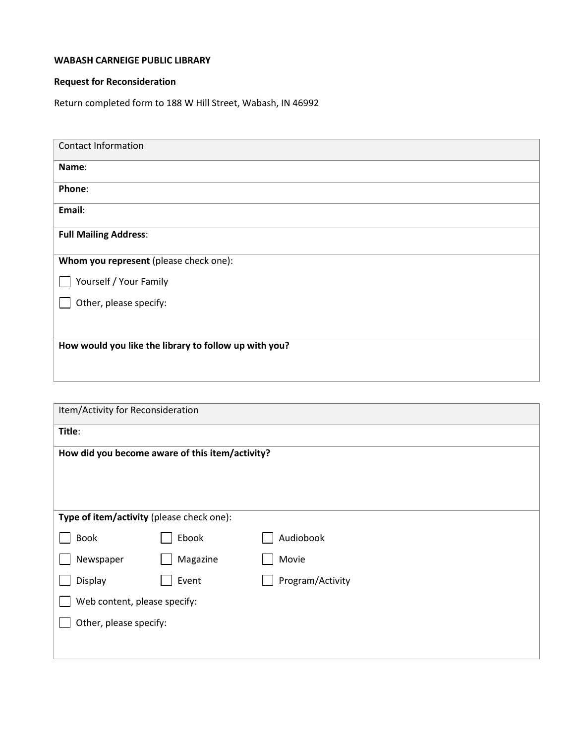## **WABASH CARNEIGE PUBLIC LIBRARY**

## **Request for Reconsideration**

Return completed form to 188 W Hill Street, Wabash, IN 46992

| <b>Contact Information</b>                            |  |  |
|-------------------------------------------------------|--|--|
| Name:                                                 |  |  |
| Phone:                                                |  |  |
| Email:                                                |  |  |
| <b>Full Mailing Address:</b>                          |  |  |
| Whom you represent (please check one):                |  |  |
| Yourself / Your Family                                |  |  |
| Other, please specify:                                |  |  |
|                                                       |  |  |
| How would you like the library to follow up with you? |  |  |
|                                                       |  |  |

| Item/Activity for Reconsideration               |          |                  |  |
|-------------------------------------------------|----------|------------------|--|
| Title:                                          |          |                  |  |
| How did you become aware of this item/activity? |          |                  |  |
|                                                 |          |                  |  |
|                                                 |          |                  |  |
| Type of item/activity (please check one):       |          |                  |  |
| <b>Book</b>                                     | Ebook    | Audiobook        |  |
| Newspaper                                       | Magazine | Movie            |  |
| Display                                         | Event    | Program/Activity |  |
| Web content, please specify:                    |          |                  |  |
| Other, please specify:                          |          |                  |  |
|                                                 |          |                  |  |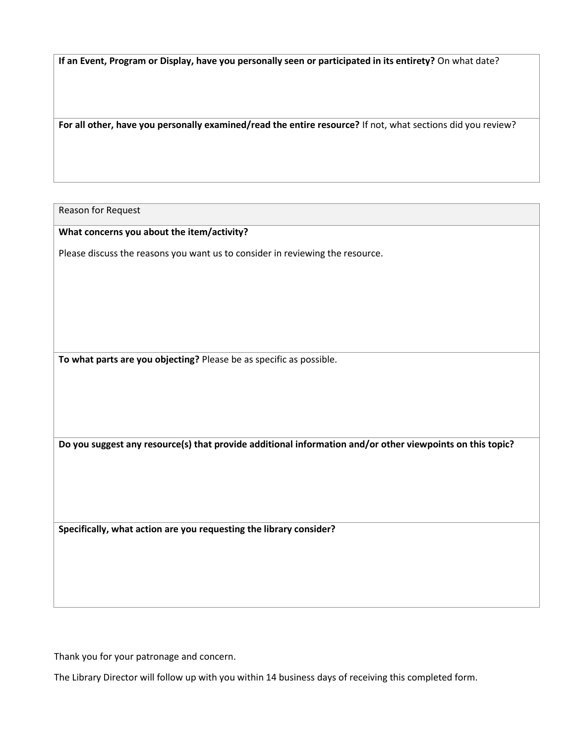**If an Event, Program or Display, have you personally seen or participated in its entirety?** On what date?

**For all other, have you personally examined/read the entire resource?** If not, what sections did you review?

Reason for Request

**What concerns you about the item/activity?**

Please discuss the reasons you want us to consider in reviewing the resource.

**To what parts are you objecting?** Please be as specific as possible.

**Do you suggest any resource(s) that provide additional information and/or other viewpoints on this topic?**

**Specifically, what action are you requesting the library consider?**

Thank you for your patronage and concern.

The Library Director will follow up with you within 14 business days of receiving this completed form.